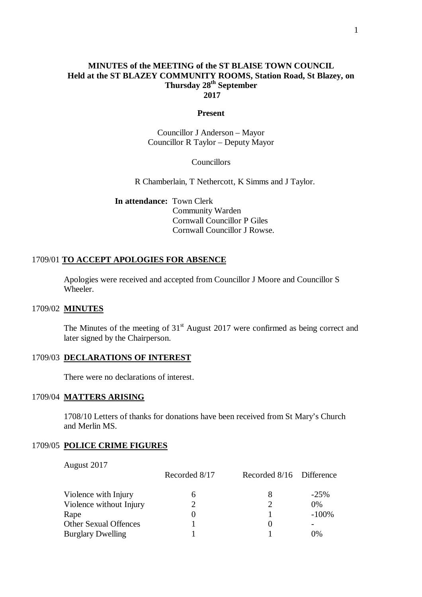#### **MINUTES of the MEETING of the ST BLAISE TOWN COUNCIL Held at the ST BLAZEY COMMUNITY ROOMS, Station Road, St Blazey, on Thursday 28th September 2017**

#### **Present**

Councillor J Anderson – Mayor Councillor R Taylor – Deputy Mayor

Councillors

R Chamberlain, T Nethercott, K Simms and J Taylor.

**In attendance:** Town Clerk Community Warden Cornwall Councillor P Giles Cornwall Councillor J Rowse.

#### 1709/01 **TO ACCEPT APOLOGIES FOR ABSENCE**

Apologies were received and accepted from Councillor J Moore and Councillor S Wheeler.

## 1709/02 **MINUTES**

The Minutes of the meeting of  $31<sup>st</sup>$  August 2017 were confirmed as being correct and later signed by the Chairperson.

#### 1709/03 **DECLARATIONS OF INTEREST**

There were no declarations of interest.

#### 1709/04 **MATTERS ARISING**

1708/10 Letters of thanks for donations have been received from St Mary's Church and Merlin MS.

#### 1709/05 **POLICE CRIME FIGURES**

August 2017

|                              | Recorded 8/17 | Recorded 8/16 Difference |         |
|------------------------------|---------------|--------------------------|---------|
| Violence with Injury         |               | 8                        | $-25%$  |
| Violence without Injury      |               |                          | $0\%$   |
| Rape                         |               |                          | $-100%$ |
| <b>Other Sexual Offences</b> |               | $\theta$                 |         |
| <b>Burglary Dwelling</b>     |               |                          | 0%      |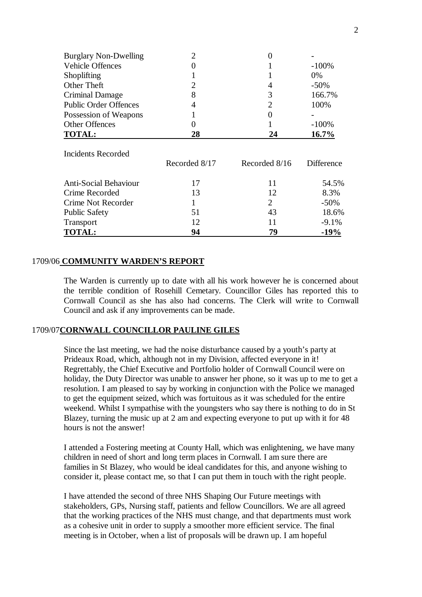| <b>Burglary Non-Dwelling</b> | $\overline{2}$ |                |            |
|------------------------------|----------------|----------------|------------|
| <b>Vehicle Offences</b>      | 0              |                | $-100%$    |
| Shoplifting                  |                |                | 0%         |
| Other Theft                  | $\overline{2}$ | 4              | $-50\%$    |
| Criminal Damage              | 8              | 3              | 166.7%     |
| <b>Public Order Offences</b> | 4              | $\overline{2}$ | 100%       |
| Possession of Weapons        |                |                |            |
| <b>Other Offences</b>        | 0              |                | $-100%$    |
| <b>TOTAL:</b>                | 28             | 24             | $16.7\%$   |
|                              |                |                |            |
| Incidents Recorded           |                |                |            |
|                              | Recorded 8/17  | Recorded 8/16  | Difference |
| <b>Anti-Social Behaviour</b> | 17             | 11             | 54.5%      |
| Crime Recorded               | 13             | 12             | 8.3%       |
| Crime Not Recorder           |                | 2              | $-50\%$    |
| <b>Public Safety</b>         | 51             | 43             | 18.6%      |

Transport 12 11 -9.1% **TOTAL: 94 79 -19%**

#### 1709/06 **COMMUNITY WARDEN'S REPORT**

The Warden is currently up to date with all his work however he is concerned about the terrible condition of Rosehill Cemetary. Councillor Giles has reported this to Cornwall Council as she has also had concerns. The Clerk will write to Cornwall Council and ask if any improvements can be made.

#### 1709/07**CORNWALL COUNCILLOR PAULINE GILES**

Since the last meeting, we had the noise disturbance caused by a youth's party at Prideaux Road, which, although not in my Division, affected everyone in it! Regrettably, the Chief Executive and Portfolio holder of Cornwall Council were on holiday, the Duty Director was unable to answer her phone, so it was up to me to get a resolution. I am pleased to say by working in conjunction with the Police we managed to get the equipment seized, which was fortuitous as it was scheduled for the entire weekend. Whilst I sympathise with the youngsters who say there is nothing to do in St Blazey, turning the music up at 2 am and expecting everyone to put up with it for 48 hours is not the answer!

I attended a Fostering meeting at County Hall, which was enlightening, we have many children in need of short and long term places in Cornwall. I am sure there are families in St Blazey, who would be ideal candidates for this, and anyone wishing to consider it, please contact me, so that I can put them in touch with the right people.

I have attended the second of three NHS Shaping Our Future meetings with stakeholders, GPs, Nursing staff, patients and fellow Councillors. We are all agreed that the working practices of the NHS must change, and that departments must work as a cohesive unit in order to supply a smoother more efficient service. The final meeting is in October, when a list of proposals will be drawn up. I am hopeful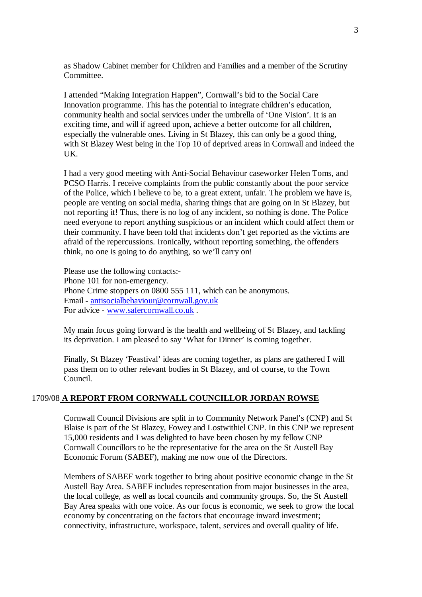as Shadow Cabinet member for Children and Families and a member of the Scrutiny Committee.

I attended "Making Integration Happen", Cornwall's bid to the Social Care Innovation programme. This has the potential to integrate children's education, community health and social services under the umbrella of 'One Vision'. It is an exciting time, and will if agreed upon, achieve a better outcome for all children, especially the vulnerable ones. Living in St Blazey, this can only be a good thing, with St Blazey West being in the Top 10 of deprived areas in Cornwall and indeed the UK.

I had a very good meeting with Anti-Social Behaviour caseworker Helen Toms, and PCSO Harris. I receive complaints from the public constantly about the poor service of the Police, which I believe to be, to a great extent, unfair. The problem we have is, people are venting on social media, sharing things that are going on in St Blazey, but not reporting it! Thus, there is no log of any incident, so nothing is done. The Police need everyone to report anything suspicious or an incident which could affect them or their community. I have been told that incidents don't get reported as the victims are afraid of the repercussions. Ironically, without reporting something, the offenders think, no one is going to do anything, so we'll carry on!

Please use the following contacts:- Phone 101 for non-emergency. Phone Crime stoppers on 0800 555 111, which can be anonymous. Email - antisocialbehaviour@cornwall.gov.uk For advice - www.safercornwall.co.uk.

My main focus going forward is the health and wellbeing of St Blazey, and tackling its deprivation. I am pleased to say 'What for Dinner' is coming together.

Finally, St Blazey 'Feastival' ideas are coming together, as plans are gathered I will pass them on to other relevant bodies in St Blazey, and of course, to the Town Council.

#### 1709/08 **A REPORT FROM CORNWALL COUNCILLOR JORDAN ROWSE**

Cornwall Council Divisions are split in to Community Network Panel's (CNP) and St Blaise is part of the St Blazey, Fowey and Lostwithiel CNP. In this CNP we represent 15,000 residents and I was delighted to have been chosen by my fellow CNP Cornwall Councillors to be the representative for the area on the St Austell Bay Economic Forum (SABEF), making me now one of the Directors.

Members of SABEF work together to bring about positive economic change in the St Austell Bay Area. SABEF includes representation from major businesses in the area, the local college, as well as local councils and community groups. So, the St Austell Bay Area speaks with one voice. As our focus is economic, we seek to grow the local economy by concentrating on the factors that encourage inward investment; connectivity, infrastructure, workspace, talent, services and overall quality of life.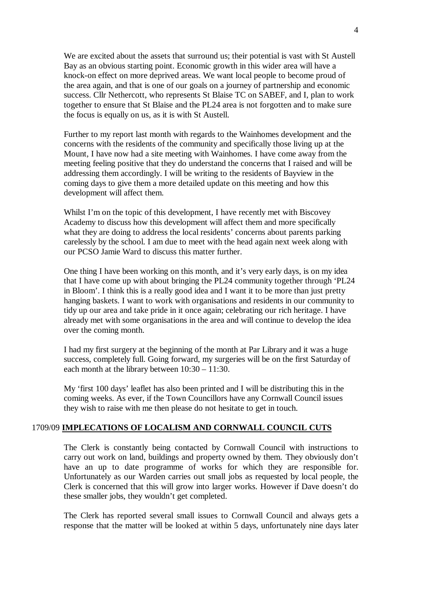We are excited about the assets that surround us; their potential is vast with St Austell Bay as an obvious starting point. Economic growth in this wider area will have a knock-on effect on more deprived areas. We want local people to become proud of the area again, and that is one of our goals on a journey of partnership and economic success. Cllr Nethercott, who represents St Blaise TC on SABEF, and I, plan to work together to ensure that St Blaise and the PL24 area is not forgotten and to make sure the focus is equally on us, as it is with St Austell.

Further to my report last month with regards to the Wainhomes development and the concerns with the residents of the community and specifically those living up at the Mount, I have now had a site meeting with Wainhomes. I have come away from the meeting feeling positive that they do understand the concerns that I raised and will be addressing them accordingly. I will be writing to the residents of Bayview in the coming days to give them a more detailed update on this meeting and how this development will affect them.

Whilst I'm on the topic of this development, I have recently met with Biscovey Academy to discuss how this development will affect them and more specifically what they are doing to address the local residents' concerns about parents parking carelessly by the school. I am due to meet with the head again next week along with our PCSO Jamie Ward to discuss this matter further.

One thing I have been working on this month, and it's very early days, is on my idea that I have come up with about bringing the PL24 community together through 'PL24 in Bloom'. I think this is a really good idea and I want it to be more than just pretty hanging baskets. I want to work with organisations and residents in our community to tidy up our area and take pride in it once again; celebrating our rich heritage. I have already met with some organisations in the area and will continue to develop the idea over the coming month.

I had my first surgery at the beginning of the month at Par Library and it was a huge success, completely full. Going forward, my surgeries will be on the first Saturday of each month at the library between 10:30 – 11:30.

My 'first 100 days' leaflet has also been printed and I will be distributing this in the coming weeks. As ever, if the Town Councillors have any Cornwall Council issues they wish to raise with me then please do not hesitate to get in touch.

#### 1709/09 **IMPLECATIONS OF LOCALISM AND CORNWALL COUNCIL CUTS**

The Clerk is constantly being contacted by Cornwall Council with instructions to carry out work on land, buildings and property owned by them. They obviously don't have an up to date programme of works for which they are responsible for. Unfortunately as our Warden carries out small jobs as requested by local people, the Clerk is concerned that this will grow into larger works. However if Dave doesn't do these smaller jobs, they wouldn't get completed.

The Clerk has reported several small issues to Cornwall Council and always gets a response that the matter will be looked at within 5 days, unfortunately nine days later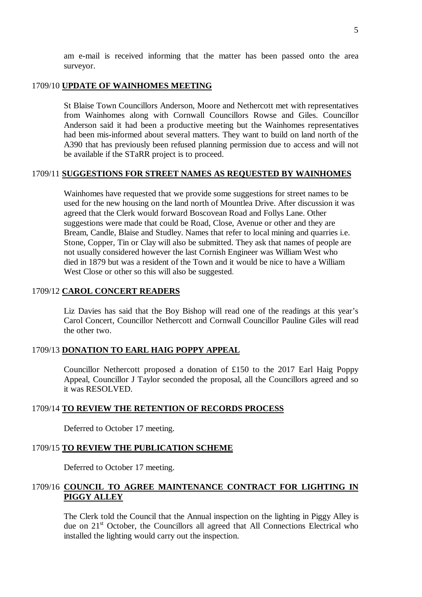## 1709/10 **UPDATE OF WAINHOMES MEETING**

St Blaise Town Councillors Anderson, Moore and Nethercott met with representatives from Wainhomes along with Cornwall Councillors Rowse and Giles. Councillor Anderson said it had been a productive meeting but the Wainhomes representatives had been mis-informed about several matters. They want to build on land north of the A390 that has previously been refused planning permission due to access and will not be available if the STaRR project is to proceed.

## 1709/11 **SUGGESTIONS FOR STREET NAMES AS REQUESTED BY WAINHOMES**

Wainhomes have requested that we provide some suggestions for street names to be used for the new housing on the land north of Mountlea Drive. After discussion it was agreed that the Clerk would forward Boscovean Road and Follys Lane. Other suggestions were made that could be Road, Close, Avenue or other and they are Bream, Candle, Blaise and Studley. Names that refer to local mining and quarries i.e. Stone, Copper, Tin or Clay will also be submitted. They ask that names of people are not usually considered however the last Cornish Engineer was William West who died in 1879 but was a resident of the Town and it would be nice to have a William West Close or other so this will also be suggested.

#### 1709/12 **CAROL CONCERT READERS**

Liz Davies has said that the Boy Bishop will read one of the readings at this year's Carol Concert, Councillor Nethercott and Cornwall Councillor Pauline Giles will read the other two.

## 1709/13 **DONATION TO EARL HAIG POPPY APPEAL**

Councillor Nethercott proposed a donation of £150 to the 2017 Earl Haig Poppy Appeal, Councillor J Taylor seconded the proposal, all the Councillors agreed and so it was RESOLVED.

## 1709/14 **TO REVIEW THE RETENTION OF RECORDS PROCESS**

Deferred to October 17 meeting.

# 1709/15 **TO REVIEW THE PUBLICATION SCHEME**

Deferred to October 17 meeting.

# 1709/16 **COUNCIL TO AGREE MAINTENANCE CONTRACT FOR LIGHTING IN PIGGY ALLEY**

The Clerk told the Council that the Annual inspection on the lighting in Piggy Alley is due on  $21<sup>st</sup>$  October, the Councillors all agreed that All Connections Electrical who installed the lighting would carry out the inspection.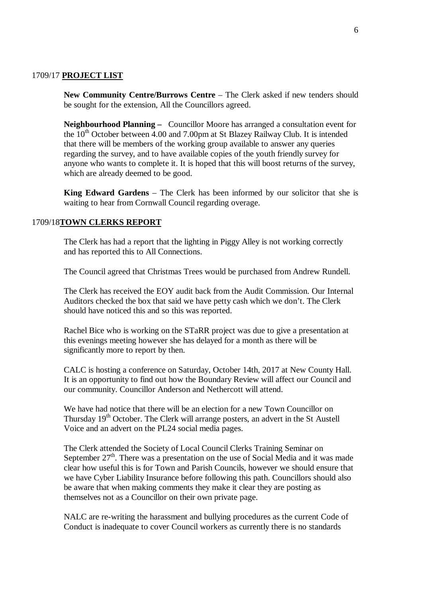#### 1709/17 **PROJECT LIST**

**New Community Centre/Burrows Centre – The Clerk asked if new tenders should** be sought for the extension, All the Councillors agreed.

**Neighbourhood Planning –** Councillor Moore has arranged a consultation event for the  $10<sup>th</sup>$  October between 4.00 and 7.00pm at St Blazey Railway Club. It is intended that there will be members of the working group available to answer any queries regarding the survey, and to have available copies of the youth friendly survey for anyone who wants to complete it. It is hoped that this will boost returns of the survey, which are already deemed to be good.

**King Edward Gardens** – The Clerk has been informed by our solicitor that she is waiting to hear from Cornwall Council regarding overage.

#### 1709/18**TOWN CLERKS REPORT**

The Clerk has had a report that the lighting in Piggy Alley is not working correctly and has reported this to All Connections.

The Council agreed that Christmas Trees would be purchased from Andrew Rundell.

The Clerk has received the EOY audit back from the Audit Commission. Our Internal Auditors checked the box that said we have petty cash which we don't. The Clerk should have noticed this and so this was reported.

Rachel Bice who is working on the STaRR project was due to give a presentation at this evenings meeting however she has delayed for a month as there will be significantly more to report by then.

CALC is hosting a conference on Saturday, October 14th, 2017 at New County Hall. It is an opportunity to find out how the Boundary Review will affect our Council and our community. Councillor Anderson and Nethercott will attend.

We have had notice that there will be an election for a new Town Councillor on Thursday 19<sup>th</sup> October. The Clerk will arrange posters, an advert in the St Austell Voice and an advert on the PL24 social media pages.

The Clerk attended the Society of Local Council Clerks Training Seminar on September  $27<sup>th</sup>$ . There was a presentation on the use of Social Media and it was made clear how useful this is for Town and Parish Councils, however we should ensure that we have Cyber Liability Insurance before following this path. Councillors should also be aware that when making comments they make it clear they are posting as themselves not as a Councillor on their own private page.

NALC are re-writing the harassment and bullying procedures as the current Code of Conduct is inadequate to cover Council workers as currently there is no standards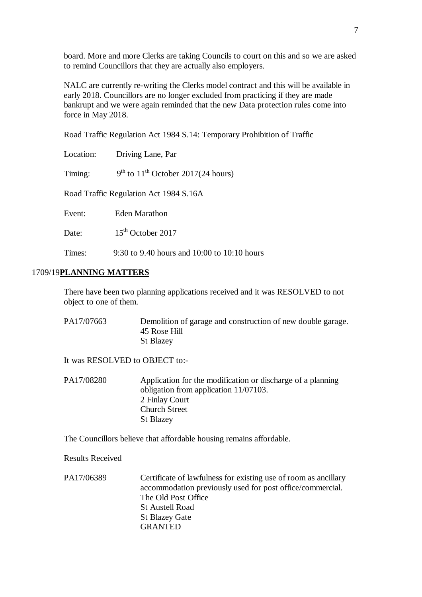board. More and more Clerks are taking Councils to court on this and so we are asked to remind Councillors that they are actually also employers.

NALC are currently re-writing the Clerks model contract and this will be available in early 2018. Councillors are no longer excluded from practicing if they are made bankrupt and we were again reminded that the new Data protection rules come into force in May 2018.

Road Traffic Regulation Act 1984 S.14: Temporary Prohibition of Traffic

| Location: | Driving Lane, Par                           |
|-----------|---------------------------------------------|
| Timing:   | $9th$ to $11th$ October 2017(24 hours)      |
|           | Road Traffic Regulation Act 1984 S.16A      |
| Event:    | <b>Eden Marathon</b>                        |
| Date:     | $15th$ October 2017                         |
| Times:    | 9:30 to 9.40 hours and 10:00 to 10:10 hours |

## 1709/19**PLANNING MATTERS**

There have been two planning applications received and it was RESOLVED to not object to one of them.

PA17/07663 Demolition of garage and construction of new double garage. 45 Rose Hill St Blazey

It was RESOLVED to OBJECT to:-

| PA17/08280 | Application for the modification or discharge of a planning |
|------------|-------------------------------------------------------------|
|            | obligation from application $11/07103$ .                    |
|            | 2 Finlay Court                                              |
|            | <b>Church Street</b>                                        |
|            | <b>St Blazey</b>                                            |

The Councillors believe that affordable housing remains affordable.

Results Received

PA17/06389 Certificate of lawfulness for existing use of room as ancillary accommodation previously used for post office/commercial. The Old Post Office St Austell Road St Blazey Gate GRANTED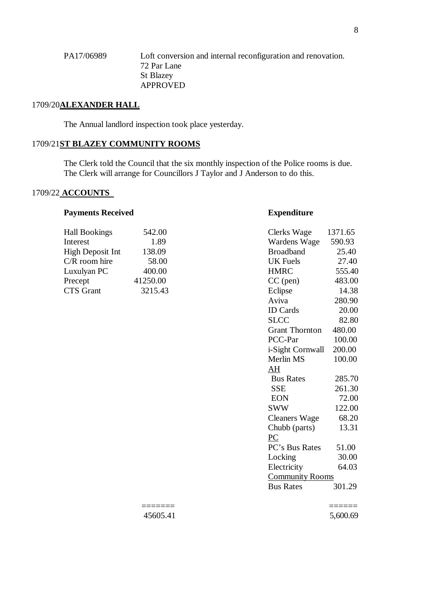PA17/06989 Loft conversion and internal reconfiguration and renovation. 72 Par Lane St Blazey APPROVED

## 1709/20**ALEXANDER HALL**

The Annual landlord inspection took place yesterday.

# 1709/21**ST BLAZEY COMMUNITY ROOMS**

The Clerk told the Council that the six monthly inspection of the Police rooms is due. The Clerk will arrange for Councillors J Taylor and J Anderson to do this.

# 1709/22 **ACCOUNTS**

#### **Payments Received <b>Expenditure**

| 542.00   | Clerks Wage      | 1371.65 |
|----------|------------------|---------|
| 1.89     | Wardens Wage     | 590.93  |
| 138.09   | <b>Broadband</b> | 25.40   |
| 58.00    | UK Fuels         | 27.40   |
| 400.00   | <b>HMRC</b>      | 555.40  |
| 41250.00 | $CC$ (pen)       | 483.00  |
| 3215.43  | Eclipse          | 14.38   |
|          |                  |         |

| 542.00  | Clerks Wage            | 1371.65 |
|---------|------------------------|---------|
| 1.89    | Wardens Wage           | 590.93  |
| 138.09  | <b>Broadband</b>       | 25.40   |
| 58.00   | <b>UK</b> Fuels        | 27.40   |
| 400.00  | <b>HMRC</b>            | 555.40  |
| 250.00  | $CC$ (pen)             | 483.00  |
| 3215.43 | Eclipse                | 14.38   |
|         | Aviva                  | 280.90  |
|         | <b>ID</b> Cards        | 20.00   |
|         | <b>SLCC</b>            | 82.80   |
|         | <b>Grant Thornton</b>  | 480.00  |
|         | PCC-Par                | 100.00  |
|         | i-Sight Cornwall       | 200.00  |
|         | Merlin MS              | 100.00  |
|         | AH                     |         |
|         | <b>Bus Rates</b>       | 285.70  |
|         | <b>SSE</b>             | 261.30  |
|         | <b>EON</b>             | 72.00   |
|         | <b>SWW</b>             | 122.00  |
|         | Cleaners Wage          | 68.20   |
|         | Chubb (parts)          | 13.31   |
|         | PC                     |         |
|         | PC's Bus Rates         | 51.00   |
|         | Locking                | 30.00   |
|         | Electricity            | 64.03   |
|         | <b>Community Rooms</b> |         |
|         | <b>Bus Rates</b>       | 301.29  |
|         |                        |         |

======= ======

45605.41 5,600.69